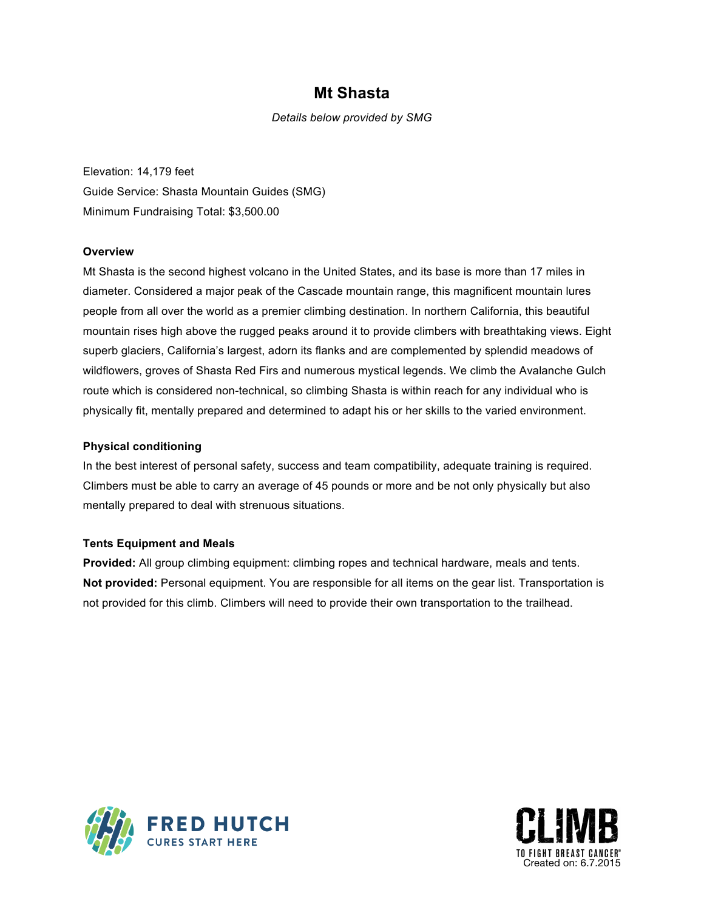## **Mt Shasta**

*Details below provided by SMG*

Elevation: 14,179 feet Guide Service: Shasta Mountain Guides (SMG) Minimum Fundraising Total: \$3,500.00

### **Overview**

Mt Shasta is the second highest volcano in the United States, and its base is more than 17 miles in diameter. Considered a major peak of the Cascade mountain range, this magnificent mountain lures people from all over the world as a premier climbing destination. In northern California, this beautiful mountain rises high above the rugged peaks around it to provide climbers with breathtaking views. Eight superb glaciers, California's largest, adorn its flanks and are complemented by splendid meadows of wildflowers, groves of Shasta Red Firs and numerous mystical legends. We climb the Avalanche Gulch route which is considered non-technical, so climbing Shasta is within reach for any individual who is physically fit, mentally prepared and determined to adapt his or her skills to the varied environment.

### **Physical conditioning**

In the best interest of personal safety, success and team compatibility, adequate training is required. Climbers must be able to carry an average of 45 pounds or more and be not only physically but also mentally prepared to deal with strenuous situations.

### **Tents Equipment and Meals**

**Provided:** All group climbing equipment: climbing ropes and technical hardware, meals and tents. **Not provided:** Personal equipment. You are responsible for all items on the gear list. Transportation is not provided for this climb. Climbers will need to provide their own transportation to the trailhead.



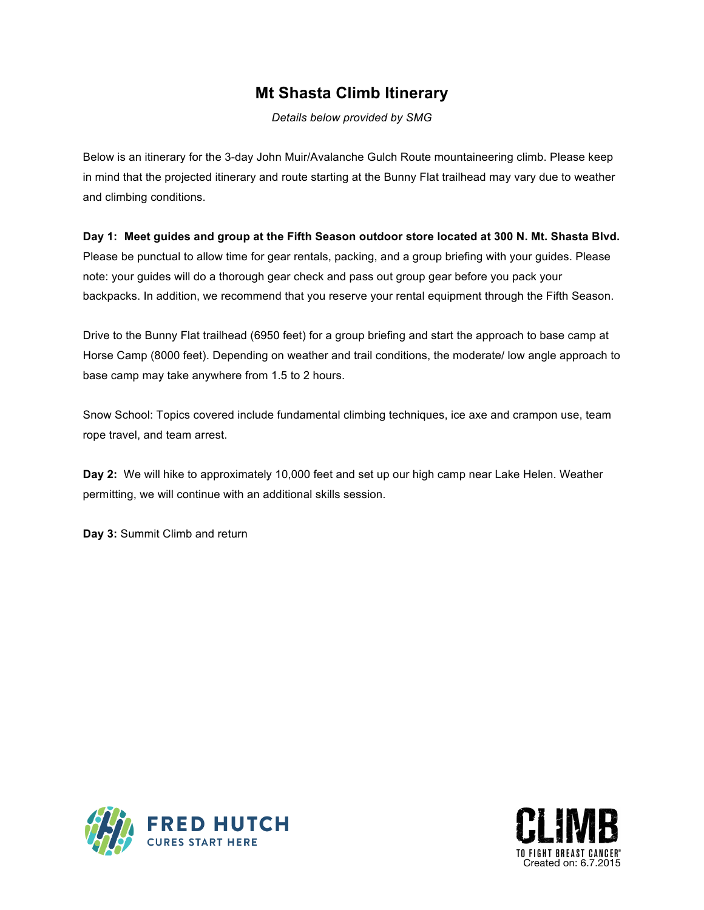# **Mt Shasta Climb Itinerary**

*Details below provided by SMG*

Below is an itinerary for the 3-day John Muir/Avalanche Gulch Route mountaineering climb. Please keep in mind that the projected itinerary and route starting at the Bunny Flat trailhead may vary due to weather and climbing conditions.

**Day 1: Meet guides and group at the Fifth Season outdoor store located at 300 N. Mt. Shasta Blvd.**

Please be punctual to allow time for gear rentals, packing, and a group briefing with your guides. Please note: your guides will do a thorough gear check and pass out group gear before you pack your backpacks. In addition, we recommend that you reserve your rental equipment through the Fifth Season.

Drive to the Bunny Flat trailhead (6950 feet) for a group briefing and start the approach to base camp at Horse Camp (8000 feet). Depending on weather and trail conditions, the moderate/ low angle approach to base camp may take anywhere from 1.5 to 2 hours.

Snow School: Topics covered include fundamental climbing techniques, ice axe and crampon use, team rope travel, and team arrest.

**Day 2:** We will hike to approximately 10,000 feet and set up our high camp near Lake Helen. Weather permitting, we will continue with an additional skills session.

**Day 3:** Summit Climb and return



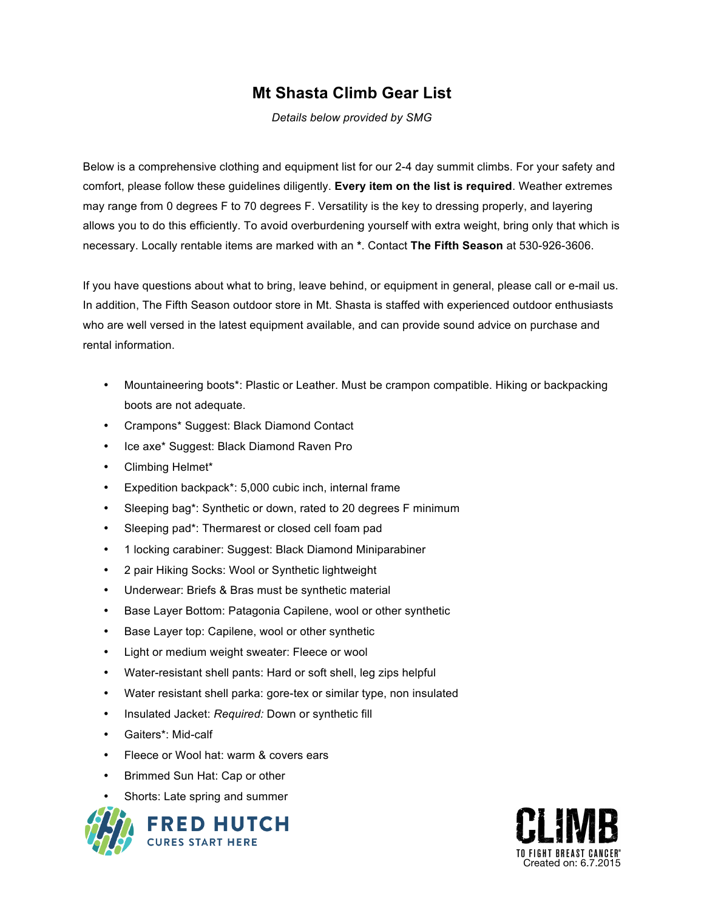# **Mt Shasta Climb Gear List**

*Details below provided by SMG*

Below is a comprehensive clothing and equipment list for our 2-4 day summit climbs. For your safety and comfort, please follow these guidelines diligently. **Every item on the list is required**. Weather extremes may range from 0 degrees F to 70 degrees F. Versatility is the key to dressing properly, and layering allows you to do this efficiently. To avoid overburdening yourself with extra weight, bring only that which is necessary. Locally rentable items are marked with an **\***. Contact **The Fifth Season** at 530-926-3606.

If you have questions about what to bring, leave behind, or equipment in general, please call or e-mail us. In addition, The Fifth Season outdoor store in Mt. Shasta is staffed with experienced outdoor enthusiasts who are well versed in the latest equipment available, and can provide sound advice on purchase and rental information.

- Mountaineering boots\*: Plastic or Leather. Must be crampon compatible. Hiking or backpacking boots are not adequate.
- Crampons\* Suggest: Black Diamond Contact
- Ice axe\* Suggest: Black Diamond Raven Pro
- Climbing Helmet\*
- Expedition backpack\*: 5,000 cubic inch, internal frame
- Sleeping bag\*: Synthetic or down, rated to 20 degrees F minimum
- Sleeping pad\*: Thermarest or closed cell foam pad
- 1 locking carabiner: Suggest: Black Diamond Miniparabiner
- 2 pair Hiking Socks: Wool or Synthetic lightweight
- Underwear: Briefs & Bras must be synthetic material
- Base Layer Bottom: Patagonia Capilene, wool or other synthetic
- Base Layer top: Capilene, wool or other synthetic
- Light or medium weight sweater: Fleece or wool
- Water-resistant shell pants: Hard or soft shell, leg zips helpful
- Water resistant shell parka: gore-tex or similar type, non insulated
- Insulated Jacket: *Required:* Down or synthetic fill
- Gaiters\*: Mid-calf
- Fleece or Wool hat: warm & covers ears
- Brimmed Sun Hat: Cap or other
- Shorts: Late spring and summer